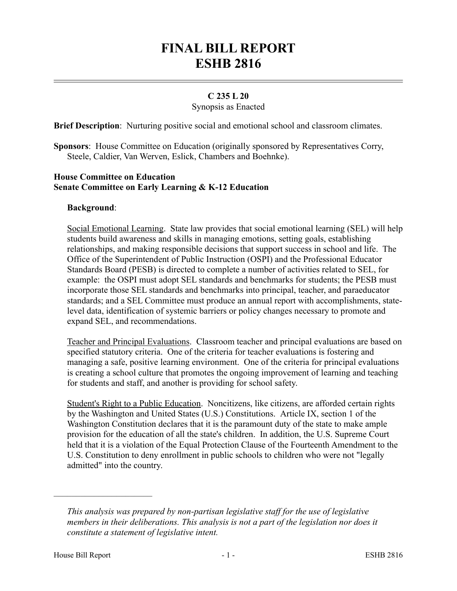# **FINAL BILL REPORT ESHB 2816**

## **C 235 L 20**

Synopsis as Enacted

**Brief Description**: Nurturing positive social and emotional school and classroom climates.

**Sponsors**: House Committee on Education (originally sponsored by Representatives Corry, Steele, Caldier, Van Werven, Eslick, Chambers and Boehnke).

### **House Committee on Education Senate Committee on Early Learning & K-12 Education**

### **Background**:

Social Emotional Learning. State law provides that social emotional learning (SEL) will help students build awareness and skills in managing emotions, setting goals, establishing relationships, and making responsible decisions that support success in school and life. The Office of the Superintendent of Public Instruction (OSPI) and the Professional Educator Standards Board (PESB) is directed to complete a number of activities related to SEL, for example: the OSPI must adopt SEL standards and benchmarks for students; the PESB must incorporate those SEL standards and benchmarks into principal, teacher, and paraeducator standards; and a SEL Committee must produce an annual report with accomplishments, statelevel data, identification of systemic barriers or policy changes necessary to promote and expand SEL, and recommendations.

Teacher and Principal Evaluations. Classroom teacher and principal evaluations are based on specified statutory criteria. One of the criteria for teacher evaluations is fostering and managing a safe, positive learning environment. One of the criteria for principal evaluations is creating a school culture that promotes the ongoing improvement of learning and teaching for students and staff, and another is providing for school safety.

Student's Right to a Public Education. Noncitizens, like citizens, are afforded certain rights by the Washington and United States (U.S.) Constitutions. Article IX, section 1 of the Washington Constitution declares that it is the paramount duty of the state to make ample provision for the education of all the state's children. In addition, the U.S. Supreme Court held that it is a violation of the Equal Protection Clause of the Fourteenth Amendment to the U.S. Constitution to deny enrollment in public schools to children who were not "legally admitted" into the country.

––––––––––––––––––––––

*This analysis was prepared by non-partisan legislative staff for the use of legislative members in their deliberations. This analysis is not a part of the legislation nor does it constitute a statement of legislative intent.*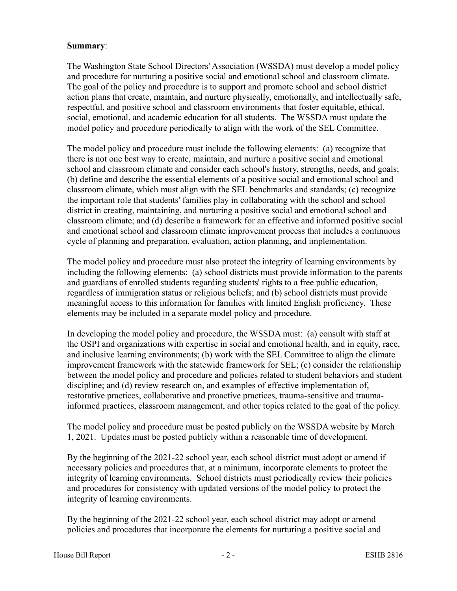## **Summary**:

The Washington State School Directors' Association (WSSDA) must develop a model policy and procedure for nurturing a positive social and emotional school and classroom climate. The goal of the policy and procedure is to support and promote school and school district action plans that create, maintain, and nurture physically, emotionally, and intellectually safe, respectful, and positive school and classroom environments that foster equitable, ethical, social, emotional, and academic education for all students. The WSSDA must update the model policy and procedure periodically to align with the work of the SEL Committee.

The model policy and procedure must include the following elements: (a) recognize that there is not one best way to create, maintain, and nurture a positive social and emotional school and classroom climate and consider each school's history, strengths, needs, and goals; (b) define and describe the essential elements of a positive social and emotional school and classroom climate, which must align with the SEL benchmarks and standards; (c) recognize the important role that students' families play in collaborating with the school and school district in creating, maintaining, and nurturing a positive social and emotional school and classroom climate; and (d) describe a framework for an effective and informed positive social and emotional school and classroom climate improvement process that includes a continuous cycle of planning and preparation, evaluation, action planning, and implementation.

The model policy and procedure must also protect the integrity of learning environments by including the following elements: (a) school districts must provide information to the parents and guardians of enrolled students regarding students' rights to a free public education, regardless of immigration status or religious beliefs; and (b) school districts must provide meaningful access to this information for families with limited English proficiency. These elements may be included in a separate model policy and procedure.

In developing the model policy and procedure, the WSSDA must: (a) consult with staff at the OSPI and organizations with expertise in social and emotional health, and in equity, race, and inclusive learning environments; (b) work with the SEL Committee to align the climate improvement framework with the statewide framework for SEL; (c) consider the relationship between the model policy and procedure and policies related to student behaviors and student discipline; and (d) review research on, and examples of effective implementation of, restorative practices, collaborative and proactive practices, trauma-sensitive and traumainformed practices, classroom management, and other topics related to the goal of the policy.

The model policy and procedure must be posted publicly on the WSSDA website by March 1, 2021. Updates must be posted publicly within a reasonable time of development.

By the beginning of the 2021-22 school year, each school district must adopt or amend if necessary policies and procedures that, at a minimum, incorporate elements to protect the integrity of learning environments. School districts must periodically review their policies and procedures for consistency with updated versions of the model policy to protect the integrity of learning environments.

By the beginning of the 2021-22 school year, each school district may adopt or amend policies and procedures that incorporate the elements for nurturing a positive social and